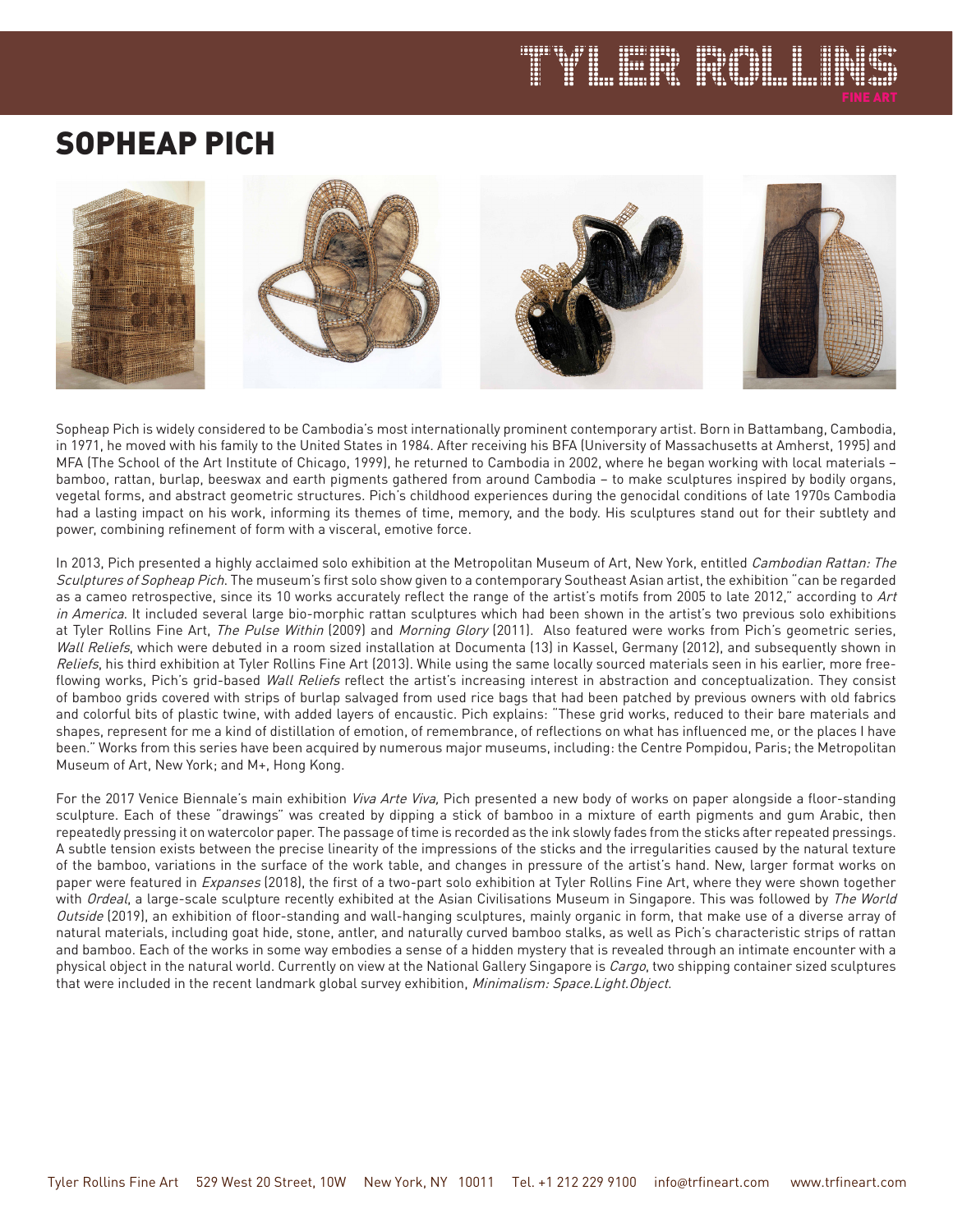# SOPHEAP PICH



1 FSC 547

Sopheap Pich is widely considered to be Cambodia's most internationally prominent contemporary artist. Born in Battambang, Cambodia, in 1971, he moved with his family to the United States in 1984. After receiving his BFA (University of Massachusetts at Amherst, 1995) and MFA (The School of the Art Institute of Chicago, 1999), he returned to Cambodia in 2002, where he began working with local materials – bamboo, rattan, burlap, beeswax and earth pigments gathered from around Cambodia – to make sculptures inspired by bodily organs, vegetal forms, and abstract geometric structures. Pich's childhood experiences during the genocidal conditions of late 1970s Cambodia had a lasting impact on his work, informing its themes of time, memory, and the body. His sculptures stand out for their subtlety and power, combining refinement of form with a visceral, emotive force.

In 2013, Pich presented a highly acclaimed solo exhibition at the Metropolitan Museum of Art, New York, entitled Cambodian Rattan: The Sculptures of Sopheap Pich. The museum's first solo show given to a contemporary Southeast Asian artist, the exhibition "can be regarded as a cameo retrospective, since its 10 works accurately reflect the range of the artist's motifs from 2005 to late 2012," according to Art in America. It included several large bio-morphic rattan sculptures which had been shown in the artist's two previous solo exhibitions at Tyler Rollins Fine Art, The Pulse Within (2009) and Morning Glory (2011). Also featured were works from Pich's geometric series, Wall Reliefs, which were debuted in a room sized installation at Documenta (13) in Kassel, Germany (2012), and subsequently shown in Reliefs, his third exhibition at Tyler Rollins Fine Art (2013). While using the same locally sourced materials seen in his earlier, more freeflowing works, Pich's grid-based Wall Reliefs reflect the artist's increasing interest in abstraction and conceptualization. They consist of bamboo grids covered with strips of burlap salvaged from used rice bags that had been patched by previous owners with old fabrics and colorful bits of plastic twine, with added layers of encaustic. Pich explains: "These grid works, reduced to their bare materials and shapes, represent for me a kind of distillation of emotion, of remembrance, of reflections on what has influenced me, or the places I have been." Works from this series have been acquired by numerous major museums, including: the Centre Pompidou, Paris; the Metropolitan Museum of Art, New York; and M+, Hong Kong.

For the 2017 Venice Biennale's main exhibition Viva Arte Viva, Pich presented a new body of works on paper alongside a floor-standing sculpture. Each of these "drawings" was created by dipping a stick of bamboo in a mixture of earth pigments and gum Arabic, then repeatedly pressing it on watercolor paper. The passage of time is recorded as the ink slowly fades from the sticks after repeated pressings. A subtle tension exists between the precise linearity of the impressions of the sticks and the irregularities caused by the natural texture of the bamboo, variations in the surface of the work table, and changes in pressure of the artist's hand. New, larger format works on paper were featured in Expanses (2018), the first of a two-part solo exhibition at Tyler Rollins Fine Art, where they were shown together with Ordeal, a large-scale sculpture recently exhibited at the Asian Civilisations Museum in Singapore. This was followed by The World Outside (2019), an exhibition of floor-standing and wall-hanging sculptures, mainly organic in form, that make use of a diverse array of natural materials, including goat hide, stone, antler, and naturally curved bamboo stalks, as well as Pich's characteristic strips of rattan and bamboo. Each of the works in some way embodies a sense of a hidden mystery that is revealed through an intimate encounter with a physical object in the natural world. Currently on view at the National Gallery Singapore is Cargo, two shipping container sized sculptures that were included in the recent landmark global survey exhibition, Minimalism: Space.Light.Object.